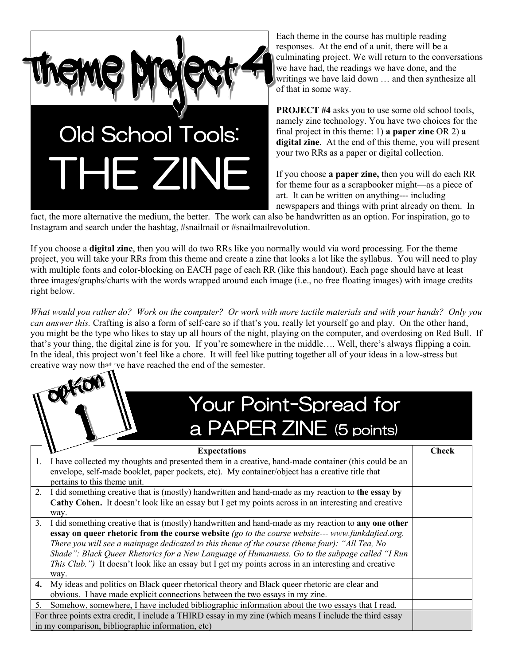

Each theme in the course has multiple reading responses. At the end of a unit, there will be a culminating project. We will return to the conversations we have had, the readings we have done, and the writings we have laid down … and then synthesize all of that in some way.

**PROJECT #4** asks you to use some old school tools, namely zine technology. You have two choices for the final project in this theme: 1) **a paper zine** OR 2) **a digital zine**. At the end of this theme, you will present your two RRs as a paper or digital collection.

If you choose **a paper zine,** then you will do each RR for theme four as a scrapbooker might—as a piece of art. It can be written on anything--- including newspapers and things with print already on them. In

fact, the more alternative the medium, the better. The work can also be handwritten as an option. For inspiration, go to Instagram and search under the hashtag, #snailmail or #snailmailrevolution.

If you choose a **digital zine**, then you will do two RRs like you normally would via word processing. For the theme project, you will take your RRs from this theme and create a zine that looks a lot like the syllabus. You will need to play with multiple fonts and color-blocking on EACH page of each RR (like this handout). Each page should have at least three images/graphs/charts with the words wrapped around each image (i.e., no free floating images) with image credits right below.

*What would you rather do? Work on the computer? Or work with more tactile materials and with your hands? Only you can answer this.* Crafting is also a form of self-care so if that's you, really let yourself go and play. On the other hand, you might be the type who likes to stay up all hours of the night, playing on the computer, and overdosing on Red Bull. If that's your thing, the digital zine is for you. If you're somewhere in the middle…. Well, there's always flipping a coin. In the ideal, this project won't feel like a chore. It will feel like putting together all of your ideas in a low-stress but creative way now that we have reached the end of the semester.

## Your Point-Spread for a PAPER ZINE (5 points)

|                                                                                                          | <b>Expectations</b>                                                                                    | Check |  |  |  |  |
|----------------------------------------------------------------------------------------------------------|--------------------------------------------------------------------------------------------------------|-------|--|--|--|--|
|                                                                                                          | I have collected my thoughts and presented them in a creative, hand-made container (this could be an   |       |  |  |  |  |
|                                                                                                          | envelope, self-made booklet, paper pockets, etc). My container/object has a creative title that        |       |  |  |  |  |
|                                                                                                          | pertains to this theme unit.                                                                           |       |  |  |  |  |
|                                                                                                          | 2. I did something creative that is (mostly) handwritten and hand-made as my reaction to the essay by  |       |  |  |  |  |
|                                                                                                          | Cathy Cohen. It doesn't look like an essay but I get my points across in an interesting and creative   |       |  |  |  |  |
|                                                                                                          | way.                                                                                                   |       |  |  |  |  |
|                                                                                                          | 3. I did something creative that is (mostly) handwritten and hand-made as my reaction to any one other |       |  |  |  |  |
|                                                                                                          | essay on queer rhetoric from the course website (go to the course website--- www.funkdafied.org.       |       |  |  |  |  |
|                                                                                                          | There you will see a mainpage dedicated to this theme of the course (theme four): "All Tea, No         |       |  |  |  |  |
|                                                                                                          | Shade": Black Queer Rhetorics for a New Language of Humanness. Go to the subpage called "I Run         |       |  |  |  |  |
|                                                                                                          | This Club.") It doesn't look like an essay but I get my points across in an interesting and creative   |       |  |  |  |  |
|                                                                                                          | way.                                                                                                   |       |  |  |  |  |
| 4.                                                                                                       | My ideas and politics on Black queer rhetorical theory and Black queer rhetoric are clear and          |       |  |  |  |  |
|                                                                                                          | obvious. I have made explicit connections between the two essays in my zine.                           |       |  |  |  |  |
| 5.                                                                                                       | Somehow, somewhere, I have included bibliographic information about the two essays that I read.        |       |  |  |  |  |
| For three points extra credit, I include a THIRD essay in my zine (which means I include the third essay |                                                                                                        |       |  |  |  |  |
| in my comparison, bibliographic information, etc)                                                        |                                                                                                        |       |  |  |  |  |